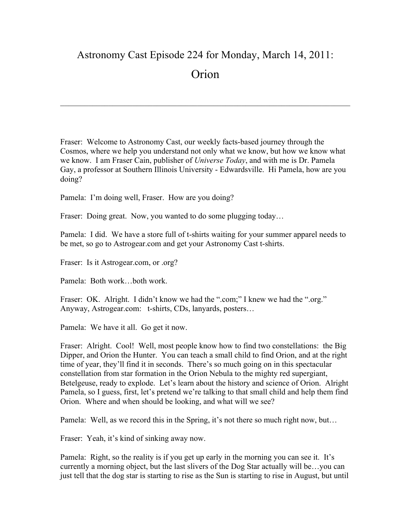## Astronomy Cast Episode 224 for Monday, March 14, 2011: **Orion**

 $\mathcal{L}_\mathcal{L} = \{ \mathcal{L}_\mathcal{L} = \{ \mathcal{L}_\mathcal{L} = \{ \mathcal{L}_\mathcal{L} = \{ \mathcal{L}_\mathcal{L} = \{ \mathcal{L}_\mathcal{L} = \{ \mathcal{L}_\mathcal{L} = \{ \mathcal{L}_\mathcal{L} = \{ \mathcal{L}_\mathcal{L} = \{ \mathcal{L}_\mathcal{L} = \{ \mathcal{L}_\mathcal{L} = \{ \mathcal{L}_\mathcal{L} = \{ \mathcal{L}_\mathcal{L} = \{ \mathcal{L}_\mathcal{L} = \{ \mathcal{L}_\mathcal{$ 

Fraser: Welcome to Astronomy Cast, our weekly facts-based journey through the Cosmos, where we help you understand not only what we know, but how we know what we know. I am Fraser Cain, publisher of *Universe Today*, and with me is Dr. Pamela Gay, a professor at Southern Illinois University - Edwardsville. Hi Pamela, how are you doing?

Pamela: I'm doing well, Fraser. How are you doing?

Fraser: Doing great. Now, you wanted to do some plugging today...

Pamela: I did. We have a store full of t-shirts waiting for your summer apparel needs to be met, so go to Astrogear.com and get your Astronomy Cast t-shirts.

Fraser: Is it Astrogear.com, or .org?

Pamela: Both work…both work.

Fraser: OK. Alright. I didn't know we had the ".com;" I knew we had the ".org." Anyway, Astrogear.com: t-shirts, CDs, lanyards, posters…

Pamela: We have it all. Go get it now.

Fraser: Alright. Cool! Well, most people know how to find two constellations: the Big Dipper, and Orion the Hunter. You can teach a small child to find Orion, and at the right time of year, they'll find it in seconds. There's so much going on in this spectacular constellation from star formation in the Orion Nebula to the mighty red supergiant, Betelgeuse, ready to explode. Let's learn about the history and science of Orion. Alright Pamela, so I guess, first, let's pretend we're talking to that small child and help them find Orion. Where and when should be looking, and what will we see?

Pamela: Well, as we record this in the Spring, it's not there so much right now, but…

Fraser: Yeah, it's kind of sinking away now.

Pamela: Right, so the reality is if you get up early in the morning you can see it. It's currently a morning object, but the last slivers of the Dog Star actually will be…you can just tell that the dog star is starting to rise as the Sun is starting to rise in August, but until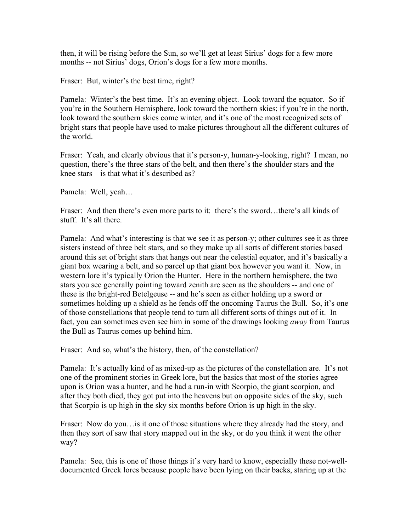then, it will be rising before the Sun, so we'll get at least Sirius' dogs for a few more months -- not Sirius' dogs, Orion's dogs for a few more months.

Fraser: But, winter's the best time, right?

Pamela: Winter's the best time. It's an evening object. Look toward the equator. So if you're in the Southern Hemisphere, look toward the northern skies; if you're in the north, look toward the southern skies come winter, and it's one of the most recognized sets of bright stars that people have used to make pictures throughout all the different cultures of the world.

Fraser: Yeah, and clearly obvious that it's person-y, human-y-looking, right? I mean, no question, there's the three stars of the belt, and then there's the shoulder stars and the knee stars – is that what it's described as?

Pamela: Well, yeah…

Fraser: And then there's even more parts to it: there's the sword...there's all kinds of stuff. It's all there.

Pamela: And what's interesting is that we see it as person-y; other cultures see it as three sisters instead of three belt stars, and so they make up all sorts of different stories based around this set of bright stars that hangs out near the celestial equator, and it's basically a giant box wearing a belt, and so parcel up that giant box however you want it. Now, in western lore it's typically Orion the Hunter. Here in the northern hemisphere, the two stars you see generally pointing toward zenith are seen as the shoulders -- and one of these is the bright-red Betelgeuse -- and he's seen as either holding up a sword or sometimes holding up a shield as he fends off the oncoming Taurus the Bull. So, it's one of those constellations that people tend to turn all different sorts of things out of it. In fact, you can sometimes even see him in some of the drawings looking *away* from Taurus the Bull as Taurus comes up behind him.

Fraser: And so, what's the history, then, of the constellation?

Pamela: It's actually kind of as mixed-up as the pictures of the constellation are. It's not one of the prominent stories in Greek lore, but the basics that most of the stories agree upon is Orion was a hunter, and he had a run-in with Scorpio, the giant scorpion, and after they both died, they got put into the heavens but on opposite sides of the sky, such that Scorpio is up high in the sky six months before Orion is up high in the sky.

Fraser: Now do you... is it one of those situations where they already had the story, and then they sort of saw that story mapped out in the sky, or do you think it went the other way?

Pamela: See, this is one of those things it's very hard to know, especially these not-welldocumented Greek lores because people have been lying on their backs, staring up at the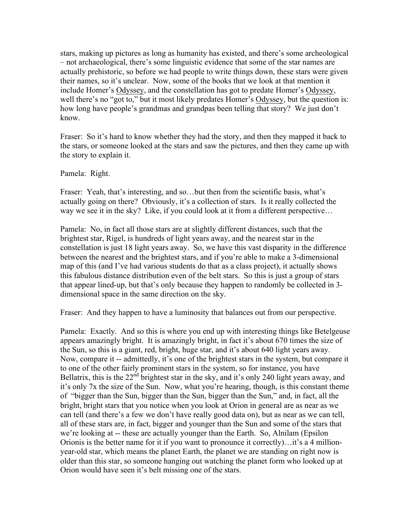stars, making up pictures as long as humanity has existed, and there's some archeological – not archaeological, there's some linguistic evidence that some of the star names are actually prehistoric, so before we had people to write things down, these stars were given their names, so it's unclear. Now, some of the books that we look at that mention it include Homer's Odyssey, and the constellation has got to predate Homer's Odyssey, well there's no "got to," but it most likely predates Homer's Odyssey, but the question is: how long have people's grandmas and grandpas been telling that story? We just don't know.

Fraser: So it's hard to know whether they had the story, and then they mapped it back to the stars, or someone looked at the stars and saw the pictures, and then they came up with the story to explain it.

Pamela: Right.

Fraser: Yeah, that's interesting, and so...but then from the scientific basis, what's actually going on there? Obviously, it's a collection of stars. Is it really collected the way we see it in the sky? Like, if you could look at it from a different perspective...

Pamela: No, in fact all those stars are at slightly different distances, such that the brightest star, Rigel, is hundreds of light years away, and the nearest star in the constellation is just 18 light years away. So, we have this vast disparity in the difference between the nearest and the brightest stars, and if you're able to make a 3-dimensional map of this (and I've had various students do that as a class project), it actually shows this fabulous distance distribution even of the belt stars. So this is just a group of stars that appear lined-up, but that's only because they happen to randomly be collected in 3 dimensional space in the same direction on the sky.

Fraser: And they happen to have a luminosity that balances out from our perspective.

Pamela: Exactly. And so this is where you end up with interesting things like Betelgeuse appears amazingly bright. It is amazingly bright, in fact it's about 670 times the size of the Sun, so this is a giant, red, bright, huge star, and it's about 640 light years away. Now, compare it -- admittedly, it's one of the brightest stars in the system, but compare it to one of the other fairly prominent stars in the system, so for instance, you have Bellatrix, this is the  $22<sup>nd</sup>$  brightest star in the sky, and it's only 240 light years away, and it's only 7x the size of the Sun. Now, what you're hearing, though, is this constant theme of "bigger than the Sun, bigger than the Sun, bigger than the Sun," and, in fact, all the bright, bright stars that you notice when you look at Orion in general are as near as we can tell (and there's a few we don't have really good data on), but as near as we can tell, all of these stars are, in fact, bigger and younger than the Sun and some of the stars that we're looking at -- these are actually younger than the Earth. So, Alnilam (Epsilon Orionis is the better name for it if you want to pronounce it correctly)…it's a 4 millionyear-old star, which means the planet Earth, the planet we are standing on right now is older than this star, so someone hanging out watching the planet form who looked up at Orion would have seen it's belt missing one of the stars.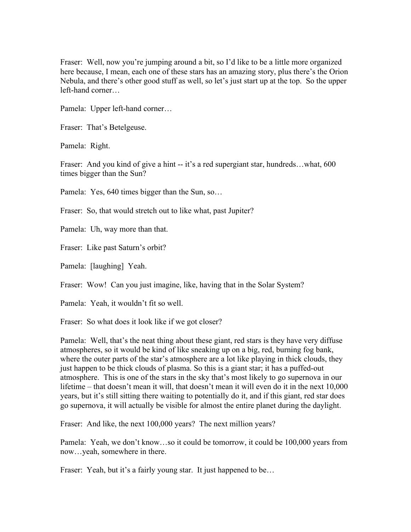Fraser: Well, now you're jumping around a bit, so I'd like to be a little more organized here because, I mean, each one of these stars has an amazing story, plus there's the Orion Nebula, and there's other good stuff as well, so let's just start up at the top. So the upper left-hand corner…

Pamela: Upper left-hand corner…

Fraser: That's Betelgeuse.

Pamela: Right.

Fraser: And you kind of give a hint -- it's a red supergiant star, hundreds...what, 600 times bigger than the Sun?

Pamela: Yes, 640 times bigger than the Sun, so…

Fraser: So, that would stretch out to like what, past Jupiter?

Pamela: Uh, way more than that.

Fraser: Like past Saturn's orbit?

Pamela: [laughing] Yeah.

Fraser: Wow! Can you just imagine, like, having that in the Solar System?

Pamela: Yeah, it wouldn't fit so well.

Fraser: So what does it look like if we got closer?

Pamela: Well, that's the neat thing about these giant, red stars is they have very diffuse atmospheres, so it would be kind of like sneaking up on a big, red, burning fog bank, where the outer parts of the star's atmosphere are a lot like playing in thick clouds, they just happen to be thick clouds of plasma. So this is a giant star; it has a puffed-out atmosphere. This is one of the stars in the sky that's most likely to go supernova in our lifetime – that doesn't mean it will, that doesn't mean it will even do it in the next 10,000 years, but it's still sitting there waiting to potentially do it, and if this giant, red star does go supernova, it will actually be visible for almost the entire planet during the daylight.

Fraser: And like, the next 100,000 years? The next million years?

Pamela: Yeah, we don't know…so it could be tomorrow, it could be 100,000 years from now…yeah, somewhere in there.

Fraser: Yeah, but it's a fairly young star. It just happened to be...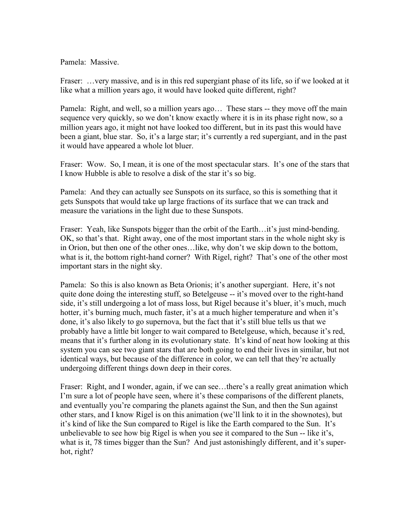Pamela: Massive.

Fraser: …very massive, and is in this red supergiant phase of its life, so if we looked at it like what a million years ago, it would have looked quite different, right?

Pamela: Right, and well, so a million years ago... These stars -- they move off the main sequence very quickly, so we don't know exactly where it is in its phase right now, so a million years ago, it might not have looked too different, but in its past this would have been a giant, blue star. So, it's a large star; it's currently a red supergiant, and in the past it would have appeared a whole lot bluer.

Fraser: Wow. So, I mean, it is one of the most spectacular stars. It's one of the stars that I know Hubble is able to resolve a disk of the star it's so big.

Pamela: And they can actually see Sunspots on its surface, so this is something that it gets Sunspots that would take up large fractions of its surface that we can track and measure the variations in the light due to these Sunspots.

Fraser: Yeah, like Sunspots bigger than the orbit of the Earth... it's just mind-bending. OK, so that's that. Right away, one of the most important stars in the whole night sky is in Orion, but then one of the other ones…like, why don't we skip down to the bottom, what is it, the bottom right-hand corner? With Rigel, right? That's one of the other most important stars in the night sky.

Pamela: So this is also known as Beta Orionis; it's another supergiant. Here, it's not quite done doing the interesting stuff, so Betelgeuse -- it's moved over to the right-hand side, it's still undergoing a lot of mass loss, but Rigel because it's bluer, it's much, much hotter, it's burning much, much faster, it's at a much higher temperature and when it's done, it's also likely to go supernova, but the fact that it's still blue tells us that we probably have a little bit longer to wait compared to Betelgeuse, which, because it's red, means that it's further along in its evolutionary state. It's kind of neat how looking at this system you can see two giant stars that are both going to end their lives in similar, but not identical ways, but because of the difference in color, we can tell that they're actually undergoing different things down deep in their cores.

Fraser: Right, and I wonder, again, if we can see...there's a really great animation which I'm sure a lot of people have seen, where it's these comparisons of the different planets, and eventually you're comparing the planets against the Sun, and then the Sun against other stars, and I know Rigel is on this animation (we'll link to it in the shownotes), but it's kind of like the Sun compared to Rigel is like the Earth compared to the Sun. It's unbelievable to see how big Rigel is when you see it compared to the Sun -- like it's, what is it, 78 times bigger than the Sun? And just astonishingly different, and it's superhot, right?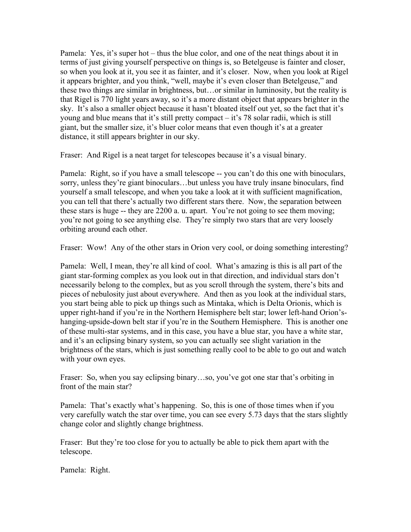Pamela: Yes, it's super hot – thus the blue color, and one of the neat things about it in terms of just giving yourself perspective on things is, so Betelgeuse is fainter and closer, so when you look at it, you see it as fainter, and it's closer. Now, when you look at Rigel it appears brighter, and you think, "well, maybe it's even closer than Betelgeuse," and these two things are similar in brightness, but…or similar in luminosity, but the reality is that Rigel is 770 light years away, so it's a more distant object that appears brighter in the sky. It's also a smaller object because it hasn't bloated itself out yet, so the fact that it's young and blue means that it's still pretty compact – it's 78 solar radii, which is still giant, but the smaller size, it's bluer color means that even though it's at a greater distance, it still appears brighter in our sky.

Fraser: And Rigel is a neat target for telescopes because it's a visual binary.

Pamela: Right, so if you have a small telescope -- you can't do this one with binoculars, sorry, unless they're giant binoculars…but unless you have truly insane binoculars, find yourself a small telescope, and when you take a look at it with sufficient magnification, you can tell that there's actually two different stars there. Now, the separation between these stars is huge -- they are 2200 a. u. apart. You're not going to see them moving; you're not going to see anything else. They're simply two stars that are very loosely orbiting around each other.

Fraser: Wow! Any of the other stars in Orion very cool, or doing something interesting?

Pamela: Well, I mean, they're all kind of cool. What's amazing is this is all part of the giant star-forming complex as you look out in that direction, and individual stars don't necessarily belong to the complex, but as you scroll through the system, there's bits and pieces of nebulosity just about everywhere. And then as you look at the individual stars, you start being able to pick up things such as Mintaka, which is Delta Orionis, which is upper right-hand if you're in the Northern Hemisphere belt star; lower left-hand Orion'shanging-upside-down belt star if you're in the Southern Hemisphere. This is another one of these multi-star systems, and in this case, you have a blue star, you have a white star, and it's an eclipsing binary system, so you can actually see slight variation in the brightness of the stars, which is just something really cool to be able to go out and watch with your own eyes.

Fraser: So, when you say eclipsing binary…so, you've got one star that's orbiting in front of the main star?

Pamela: That's exactly what's happening. So, this is one of those times when if you very carefully watch the star over time, you can see every 5.73 days that the stars slightly change color and slightly change brightness.

Fraser: But they're too close for you to actually be able to pick them apart with the telescope.

Pamela: Right.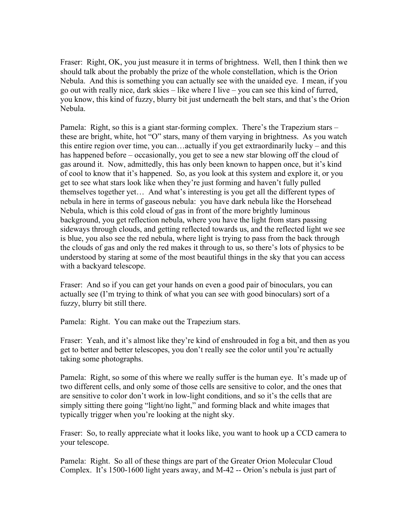Fraser: Right, OK, you just measure it in terms of brightness. Well, then I think then we should talk about the probably the prize of the whole constellation, which is the Orion Nebula. And this is something you can actually see with the unaided eye. I mean, if you go out with really nice, dark skies – like where I live – you can see this kind of furred, you know, this kind of fuzzy, blurry bit just underneath the belt stars, and that's the Orion Nebula.

Pamela: Right, so this is a giant star-forming complex. There's the Trapezium stars – these are bright, white, hot "O" stars, many of them varying in brightness. As you watch this entire region over time, you can…actually if you get extraordinarily lucky – and this has happened before – occasionally, you get to see a new star blowing off the cloud of gas around it. Now, admittedly, this has only been known to happen once, but it's kind of cool to know that it's happened. So, as you look at this system and explore it, or you get to see what stars look like when they're just forming and haven't fully pulled themselves together yet… And what's interesting is you get all the different types of nebula in here in terms of gaseous nebula: you have dark nebula like the Horsehead Nebula, which is this cold cloud of gas in front of the more brightly luminous background, you get reflection nebula, where you have the light from stars passing sideways through clouds, and getting reflected towards us, and the reflected light we see is blue, you also see the red nebula, where light is trying to pass from the back through the clouds of gas and only the red makes it through to us, so there's lots of physics to be understood by staring at some of the most beautiful things in the sky that you can access with a backyard telescope.

Fraser: And so if you can get your hands on even a good pair of binoculars, you can actually see (I'm trying to think of what you can see with good binoculars) sort of a fuzzy, blurry bit still there.

Pamela: Right. You can make out the Trapezium stars.

Fraser: Yeah, and it's almost like they're kind of enshrouded in fog a bit, and then as you get to better and better telescopes, you don't really see the color until you're actually taking some photographs.

Pamela: Right, so some of this where we really suffer is the human eye. It's made up of two different cells, and only some of those cells are sensitive to color, and the ones that are sensitive to color don't work in low-light conditions, and so it's the cells that are simply sitting there going "light/no light," and forming black and white images that typically trigger when you're looking at the night sky.

Fraser: So, to really appreciate what it looks like, you want to hook up a CCD camera to your telescope.

Pamela: Right. So all of these things are part of the Greater Orion Molecular Cloud Complex. It's 1500-1600 light years away, and M-42 -- Orion's nebula is just part of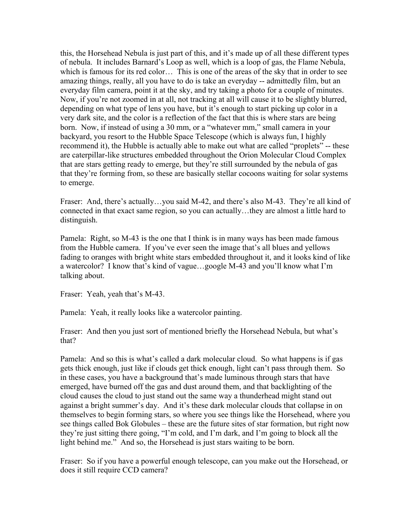this, the Horsehead Nebula is just part of this, and it's made up of all these different types of nebula. It includes Barnard's Loop as well, which is a loop of gas, the Flame Nebula, which is famous for its red color… This is one of the areas of the sky that in order to see amazing things, really, all you have to do is take an everyday -- admittedly film, but an everyday film camera, point it at the sky, and try taking a photo for a couple of minutes. Now, if you're not zoomed in at all, not tracking at all will cause it to be slightly blurred, depending on what type of lens you have, but it's enough to start picking up color in a very dark site, and the color is a reflection of the fact that this is where stars are being born. Now, if instead of using a 30 mm, or a "whatever mm," small camera in your backyard, you resort to the Hubble Space Telescope (which is always fun, I highly recommend it), the Hubble is actually able to make out what are called "proplets" -- these are caterpillar-like structures embedded throughout the Orion Molecular Cloud Complex that are stars getting ready to emerge, but they're still surrounded by the nebula of gas that they're forming from, so these are basically stellar cocoons waiting for solar systems to emerge.

Fraser: And, there's actually...you said M-42, and there's also M-43. They're all kind of connected in that exact same region, so you can actually…they are almost a little hard to distinguish.

Pamela: Right, so M-43 is the one that I think is in many ways has been made famous from the Hubble camera. If you've ever seen the image that's all blues and yellows fading to oranges with bright white stars embedded throughout it, and it looks kind of like a watercolor? I know that's kind of vague…google M-43 and you'll know what I'm talking about.

Fraser: Yeah, yeah that's M-43.

Pamela: Yeah, it really looks like a watercolor painting.

Fraser: And then you just sort of mentioned briefly the Horsehead Nebula, but what's that?

Pamela: And so this is what's called a dark molecular cloud. So what happens is if gas gets thick enough, just like if clouds get thick enough, light can't pass through them. So in these cases, you have a background that's made luminous through stars that have emerged, have burned off the gas and dust around them, and that backlighting of the cloud causes the cloud to just stand out the same way a thunderhead might stand out against a bright summer's day. And it's these dark molecular clouds that collapse in on themselves to begin forming stars, so where you see things like the Horsehead, where you see things called Bok Globules – these are the future sites of star formation, but right now they're just sitting there going, "I'm cold, and I'm dark, and I'm going to block all the light behind me." And so, the Horsehead is just stars waiting to be born.

Fraser: So if you have a powerful enough telescope, can you make out the Horsehead, or does it still require CCD camera?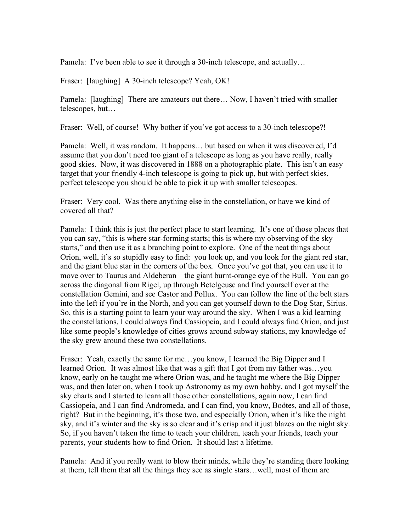Pamela: I've been able to see it through a 30-inch telescope, and actually...

Fraser: [laughing] A 30-inch telescope? Yeah, OK!

Pamela: [laughing] There are amateurs out there… Now, I haven't tried with smaller telescopes, but…

Fraser: Well, of course! Why bother if you've got access to a 30-inch telescope?!

Pamela: Well, it was random. It happens… but based on when it was discovered, I'd assume that you don't need too giant of a telescope as long as you have really, really good skies. Now, it was discovered in 1888 on a photographic plate. This isn't an easy target that your friendly 4-inch telescope is going to pick up, but with perfect skies, perfect telescope you should be able to pick it up with smaller telescopes.

Fraser: Very cool. Was there anything else in the constellation, or have we kind of covered all that?

Pamela: I think this is just the perfect place to start learning. It's one of those places that you can say, "this is where star-forming starts; this is where my observing of the sky starts," and then use it as a branching point to explore. One of the neat things about Orion, well, it's so stupidly easy to find: you look up, and you look for the giant red star, and the giant blue star in the corners of the box. Once you've got that, you can use it to move over to Taurus and Aldeberan – the giant burnt-orange eye of the Bull. You can go across the diagonal from Rigel, up through Betelgeuse and find yourself over at the constellation Gemini, and see Castor and Pollux. You can follow the line of the belt stars into the left if you're in the North, and you can get yourself down to the Dog Star, Sirius. So, this is a starting point to learn your way around the sky. When I was a kid learning the constellations, I could always find Cassiopeia, and I could always find Orion, and just like some people's knowledge of cities grows around subway stations, my knowledge of the sky grew around these two constellations.

Fraser: Yeah, exactly the same for me...you know, I learned the Big Dipper and I learned Orion. It was almost like that was a gift that I got from my father was…you know, early on he taught me where Orion was, and he taught me where the Big Dipper was, and then later on, when I took up Astronomy as my own hobby, and I got myself the sky charts and I started to learn all those other constellations, again now, I can find Cassiopeia, and I can find Andromeda, and I can find, you know, Boötes, and all of those, right? But in the beginning, it's those two, and especially Orion, when it's like the night sky, and it's winter and the sky is so clear and it's crisp and it just blazes on the night sky. So, if you haven't taken the time to teach your children, teach your friends, teach your parents, your students how to find Orion. It should last a lifetime.

Pamela: And if you really want to blow their minds, while they're standing there looking at them, tell them that all the things they see as single stars…well, most of them are